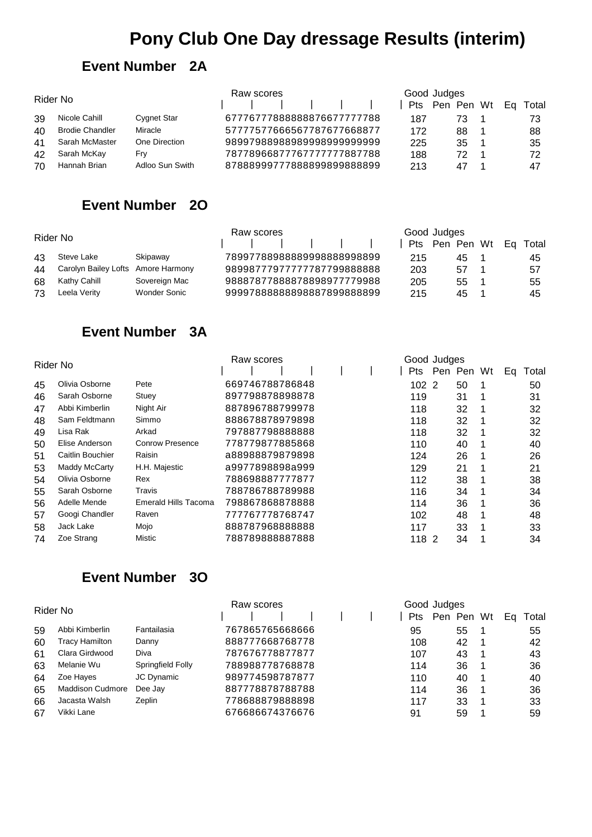# **Pony Club One Day dressage Results (interim)**

#### **Event Number 2A**

| Rider No |                        |                    | Raw scores                 |  | Good Judges |    |  |                         |
|----------|------------------------|--------------------|----------------------------|--|-------------|----|--|-------------------------|
|          |                        |                    |                            |  |             |    |  | Pts Pen Pen Wt Eq Total |
| 39       | Nicole Cahill          | <b>Cygnet Star</b> | 67776777888888876677777788 |  | 187         | 73 |  | 73                      |
| 40       | <b>Brodie Chandler</b> | <b>Miracle</b>     | 57777577666567787677668877 |  | 172         | 88 |  | 88                      |
| 41       | Sarah McMaster         | One Direction      | 98997988988989998999999999 |  | 225         | 35 |  | 35                      |
| 42       | Sarah McKay            | Frv                | 78778966877767777777887788 |  | 188         | 72 |  | 72                      |
| 70       | Hannah Brian           | Adloo Sun Swith    | 87888999777888899899888899 |  | 213         | 47 |  | 47                      |

## **Event Number 2O**

| Rider No |                                    |               | Raw scores                 |  |     | Good Judges             |  |    |
|----------|------------------------------------|---------------|----------------------------|--|-----|-------------------------|--|----|
|          |                                    |               |                            |  |     | Pts Pen Pen Wt Eq Total |  |    |
| 43       | Steve Lake                         | Skipawav      | 78997788988889998888998899 |  | 215 | 45                      |  | 45 |
| 44       | Carolyn Bailey Lofts Amore Harmony |               | 98998777977777787799888888 |  | 203 | 57                      |  | 57 |
| 68       | Kathy Cahill                       | Sovereign Mac | 98887877888878898977779988 |  | 205 | 55                      |  | 55 |
| 73       | Leela Verity                       | Wonder Sonic  | 99997888888898887899888899 |  | 215 | 45                      |  | 45 |

#### **Event Number 3A**

| Rider No |                  |                        | Raw scores |  |                 |  |  | Good Judges |  |            |   |    |       |  |
|----------|------------------|------------------------|------------|--|-----------------|--|--|-------------|--|------------|---|----|-------|--|
|          |                  |                        |            |  |                 |  |  | <b>Pts</b>  |  | Pen Pen Wt |   | Ea | Total |  |
| 45       | Olivia Osborne   | Pete                   |            |  | 669746788786848 |  |  | 1022        |  | 50         |   |    | 50    |  |
| 46       | Sarah Osborne    | Stuey                  |            |  | 897798878898878 |  |  | 119         |  | 31         |   |    | 31    |  |
| 47       | Abbi Kimberlin   | Night Air              |            |  | 887896788799978 |  |  | 118         |  | 32         |   |    | 32    |  |
| 48       | Sam Feldtmann    | Simmo                  |            |  | 888678878979898 |  |  | 118         |  | 32         |   |    | 32    |  |
| 49       | Lisa Rak         | Arkad                  |            |  | 797887798888888 |  |  | 118         |  | 32         |   |    | 32    |  |
| 50       | Elise Anderson   | <b>Conrow Presence</b> |            |  | 778779877885868 |  |  | 110         |  | 40         |   |    | 40    |  |
| 51       | Caitlin Bouchier | Raisin                 |            |  | a88988879879898 |  |  | 124         |  | 26         |   |    | 26    |  |
| 53       | Maddy McCarty    | H.H. Majestic          |            |  | a9977898898a999 |  |  | 129         |  | 21         | 1 |    | 21    |  |
| 54       | Olivia Osborne   | Rex                    |            |  | 788698887777877 |  |  | 112         |  | 38         |   |    | 38    |  |
| 55       | Sarah Osborne    | Travis                 |            |  | 788786788789988 |  |  | 116         |  | 34         |   |    | 34    |  |
| 56       | Adelle Mende     | Emerald Hills Tacoma   |            |  | 798867868878888 |  |  | 114         |  | 36         |   |    | 36    |  |
| 57       | Googi Chandler   | Raven                  |            |  | 777767778768747 |  |  | 102         |  | 48         |   |    | 48    |  |
| 58       | Jack Lake        | Mojo                   |            |  | 888787968888888 |  |  | 117         |  | 33         |   |    | 33    |  |
| 74       | Zoe Strang       | Mistic                 |            |  | 788789888887888 |  |  | 118 2       |  | 34         |   |    | 34    |  |

#### **Event Number 3O**

| Rider No |                         |                   | Raw scores      | Good Judges |            |   |       |  |  |
|----------|-------------------------|-------------------|-----------------|-------------|------------|---|-------|--|--|
|          |                         |                   |                 | <b>Pts</b>  | Pen Pen Wt |   | Total |  |  |
| 59       | Abbi Kimberlin          | Fantailasia       | 767865765668666 | 95          | 55         |   | 55    |  |  |
| 60       | Tracy Hamilton          | Danny             | 888777668768778 | 108         | 42         |   | 42    |  |  |
| 61       | Clara Girdwood          | Diva              | 787676778877877 | 107         | 43         |   | 43    |  |  |
| 63       | Melanie Wu              | Springfield Folly | 788988778768878 | 114         | 36         |   | 36    |  |  |
| 64       | Zoe Hayes               | JC Dynamic        | 989774598787877 | 110         | 40         | 1 | 40    |  |  |
| 65       | <b>Maddison Cudmore</b> | Dee Jay           | 887778878788788 | 114         | 36         | 1 | 36    |  |  |
| 66       | Jacasta Walsh           | Zeplin            | 778688879888898 | 117         | 33         |   | 33    |  |  |
| 67       | Vikki Lane              |                   | 676686674376676 | 91          | 59         |   | 59    |  |  |